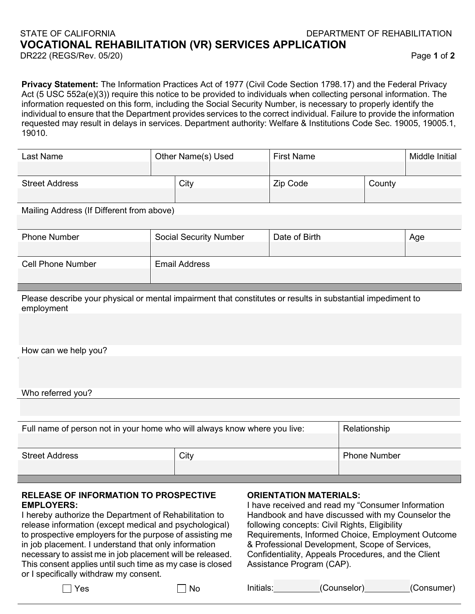#### STATE OF CALIFORNIA DEPARTMENT OF REHABILITATION **VOCATIONAL REHABILITATION (VR) SERVICES APPLICATION**  DR222 (REGS/Rev. 05/20) Page **1** of **2**

**Privacy Statement:** The Information Practices Act of 1977 (Civil Code Section 1798.17) and the Federal Privacy Act (5 USC 552a(e)(3)) require this notice to be provided to individuals when collecting personal information. The information requested on this form, including the Social Security Number, is necessary to properly identify the individual to ensure that the Department provides services to the correct individual. Failure to provide the information requested may result in delays in services. Department authority: Welfare & Institutions Code Sec. 19005, 19005.1, 19010.

| Last Name             | Other Name(s) Used | <b>First Name</b> |        | Middle Initial |
|-----------------------|--------------------|-------------------|--------|----------------|
| <b>Street Address</b> | City               | Zip Code          | County |                |

Mailing Address (If Different from above)

| <b>Phone Number</b>      | <b>Social Security Number</b> | Date of Birth | Age |
|--------------------------|-------------------------------|---------------|-----|
| <b>Cell Phone Number</b> | <b>Email Address</b>          |               |     |

Please describe your physical or mental impairment that constitutes or results in substantial impediment to employment

How can we help you?

Who referred you?

| Full name of person not in your home who will always know where you live: | Relationship |                     |
|---------------------------------------------------------------------------|--------------|---------------------|
|                                                                           |              |                     |
| <b>Street Address</b>                                                     | City         | <b>Phone Number</b> |
|                                                                           |              |                     |

#### **RELEASE OF INFORMATION TO PROSPECTIVE EMPLOYERS:**

I hereby authorize the Department of Rehabilitation to release information (except medical and psychological) to prospective employers for the purpose of assisting me in job placement. I understand that only information necessary to assist me in job placement will be released. This consent applies until such time as my case is closed or I specifically withdraw my consent.

#### **ORIENTATION MATERIALS:**

I have received and read my "Consumer Information Handbook and have discussed with my Counselor the following concepts: Civil Rights, Eligibility Requirements, Informed Choice, Employment Outcome & Professional Development, Scope of Services, Confidentiality, Appeals Procedures, and the Client Assistance Program (CAP).

 $\Box$  Yes  $\Box$  No

Initials: (Counselor) (Consumer)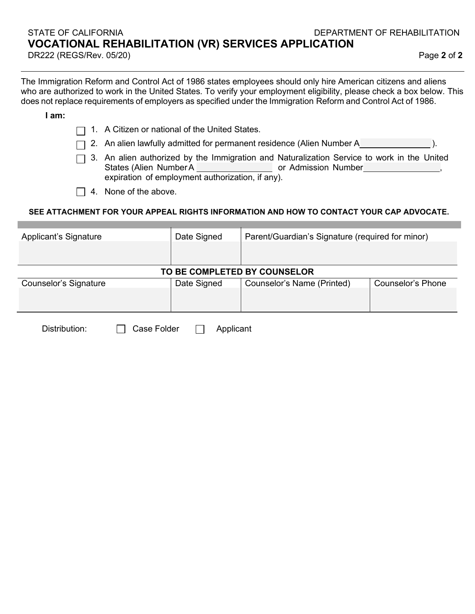#### STATE OF CALIFORNIA DEPARTMENT OF REHABILITATION **VOCATIONAL REHABILITATION (VR) SERVICES APPLICATION** DR222 (REGS/Rev. 05/20) Page **2** of **2**

The Immigration Reform and Control Act of 1986 states employees should only hire American citizens and aliens who are authorized to work in the United States. To verify your employment eligibility, please check a box below. This does not replace requirements of employers as specified under the Immigration Reform and Control Act of 1986.

**I am:**

- $\Box$  1. A Citizen or national of the United States.
- $\Box$  2. An alien lawfully admitted for permanent residence (Alien Number A ).
- $\Box$  3. An alien authorized by the Immigration and Naturalization Service to work in the United States (Alien NumberA **or Admission Number** , and Admission Number , and Admission Number , and Admission Number , expiration of employment authorization, if any).
- $\Box$  4. None of the above.

#### **SEE ATTACHMENT FOR YOUR APPEAL RIGHTS INFORMATION AND HOW TO CONTACT YOUR CAP ADVOCATE.**

| Applicant's Signature                     | Date Signed | Parent/Guardian's Signature (required for minor) |                          |  |  |
|-------------------------------------------|-------------|--------------------------------------------------|--------------------------|--|--|
|                                           |             |                                                  |                          |  |  |
| TO BE COMPLETED BY COUNSELOR              |             |                                                  |                          |  |  |
| <b>Counselor's Signature</b>              | Date Signed | Counselor's Name (Printed)                       | <b>Counselor's Phone</b> |  |  |
|                                           |             |                                                  |                          |  |  |
|                                           |             |                                                  |                          |  |  |
| Distribution:<br>Case Folder<br>Applicant |             |                                                  |                          |  |  |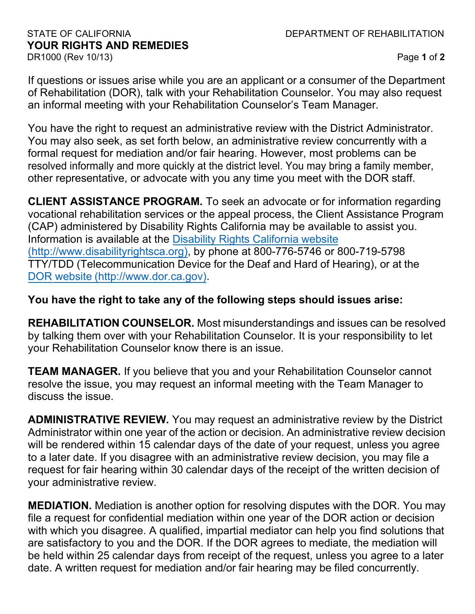## **YOUR RIGHTS AND REMEDIES**  DR1000 (Rev 10/13) Page **1** of **2**

If questions or issues arise while you are an applicant or a consumer of the Department of Rehabilitation (DOR), talk with your Rehabilitation Counselor. You may also request an informal meeting with your Rehabilitation Counselor's Team Manager.

You have the right to request an administrative review with the District Administrator. You may also seek, as set forth below, an administrative review concurrently with a formal request for mediation and/or fair hearing. However, most problems can be resolved informally and more quickly at the district level. You may bring a family member, other representative, or advocate with you any time you meet with the DOR staff.

**CLIENT ASSISTANCE PROGRAM.** To seek an advocate or for information regarding vocational rehabilitation services or the appeal process, the Client Assistance Program (CAP) administered by Disability Rights California may be available to assist you. Information is available at the Disability Rights California website [\(http://www.disabilityrightsca.org\), by phone at 800-776-5746 or](https://www.disabilityrightsca.org/) 800-719-5798 TTY/TDD (Telecommunication Device for the Deaf and Hard of Hearing), or at the [DOR website \(http://www.dor.ca.gov\)](https://www.dor.ca.gov/).

### **You have the right to take any of the following steps should issues arise:**

**REHABILITATION COUNSELOR.** Most misunderstandings and issues can be resolved by talking them over with your Rehabilitation Counselor. It is your responsibility to let your Rehabilitation Counselor know there is an issue.

**TEAM MANAGER.** If you believe that you and your Rehabilitation Counselor cannot resolve the issue, you may request an informal meeting with the Team Manager to discuss the issue.

**ADMINISTRATIVE REVIEW.** You may request an administrative review by the District Administrator within one year of the action or decision. An administrative review decision will be rendered within 15 calendar days of the date of your request, unless you agree to a later date. If you disagree with an administrative review decision, you may file a request for fair hearing within 30 calendar days of the receipt of the written decision of your administrative review.

**MEDIATION.** Mediation is another option for resolving disputes with the DOR. You may file a request for confidential mediation within one year of the DOR action or decision with which you disagree. A qualified, impartial mediator can help you find solutions that are satisfactory to you and the DOR. If the DOR agrees to mediate, the mediation will be held within 25 calendar days from receipt of the request, unless you agree to a later date. A written request for mediation and/or fair hearing may be filed concurrently.